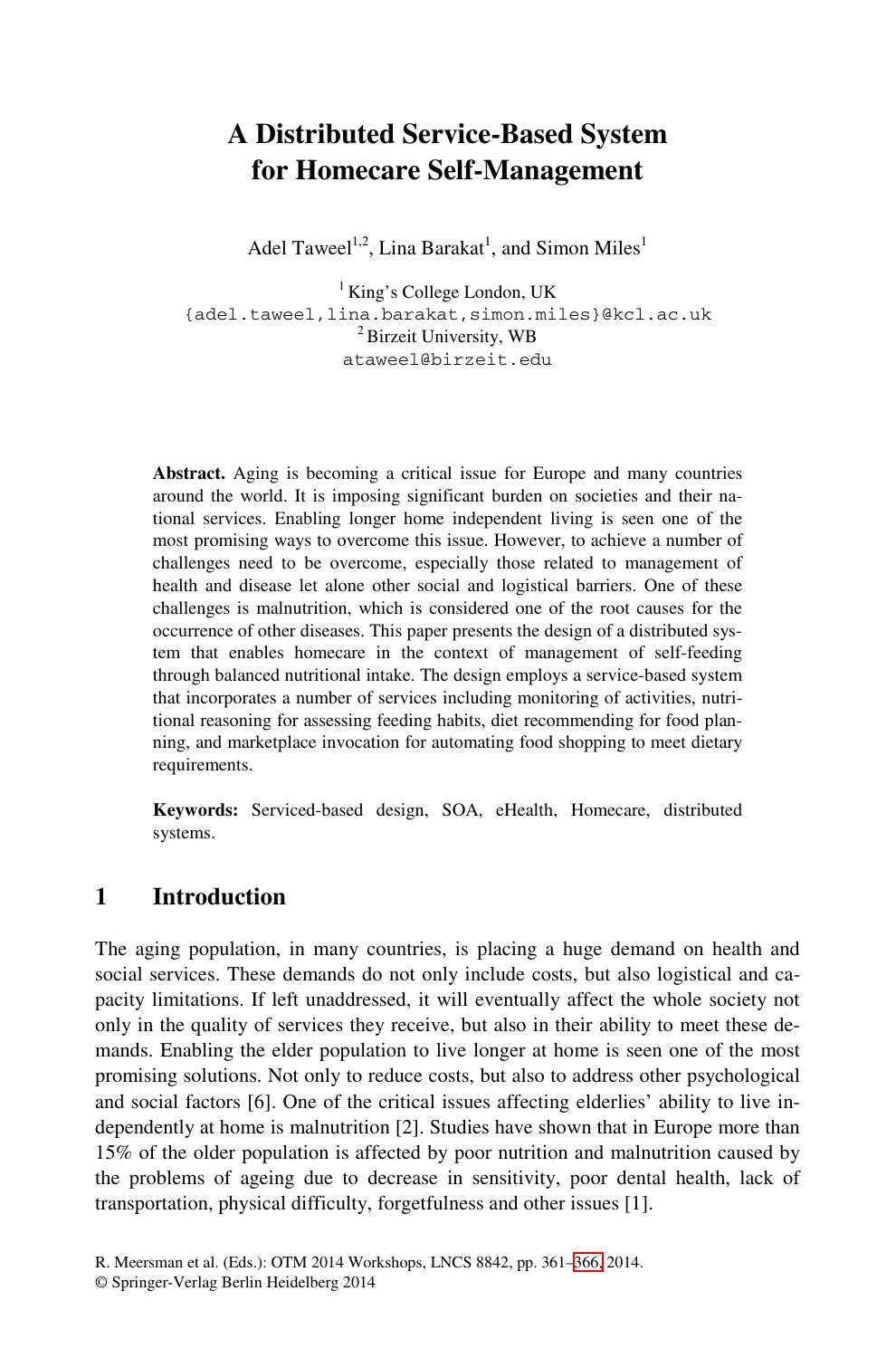# **A Distributed Service-Based System for Homecare Self-Management**

Adel Taweel<sup>1,2</sup>, Lina Barakat<sup>1</sup>, and Simon Miles<sup>1</sup>

1 King's College London, UK {adel.taweel,lina.barakat,simon.miles}@kcl.ac.uk 2 Birzeit University, WB ataweel@birzeit.edu

**Abstract.** Aging is becoming a critical issue for Europe and many countries around the world. It is imposing significant burden on societies and their national services. Enabling longer home independent living is seen one of the most promising ways to overcome this issue. However, to achieve a number of challenges need to be overcome, especially those related to management of health and disease let alone other social and logistical barriers. One of these challenges is malnutrition, which is considered one of the root causes for the occurrence of other diseases. This paper presents the design of a distributed system that enables homecare in the context of management of self-feeding through balanced nutritional intake. The design employs a service-based system that incorporates a number of services including monitoring of activities, nutritional reasoning for assessing feeding habits, diet recommending for food planning, and marketplace invocation for automating food shopping to meet dietary requirements.

**Keywords:** Serviced-based design, SOA, eHealth, Homecare, distributed systems.

### **1 Introduction**

The aging population, in many countries, is placing a huge demand on health and social services. These demands do not only include costs, but also logistical and capacity limitations. If left unaddressed, it will eventually affect the whole society not only in the quality of services they receive, but also in their ability to meet these demands. Enabling the elder population to live longer at home is seen one of the most promising solutions. Not only to reduc[e co](#page-5-0)sts, but also to address other psychological and social factors [6]. One of the critical issues affecting elderlies' ability to live independently at home is malnutrition [2]. Studies have shown that in Europe more than 15% of the older population is affected by poor nutrition and malnutrition caused by the problems of ageing due to decrease in sensitivity, poor dental health, lack of transportation, physical difficulty, forgetfulness and other issues [1].

R. Meersman et al. (Eds.): OTM 2014 Workshops, LNCS 8842, pp. 361–366, 2014.

<sup>©</sup> Springer-Verlag Berlin Heidelberg 2014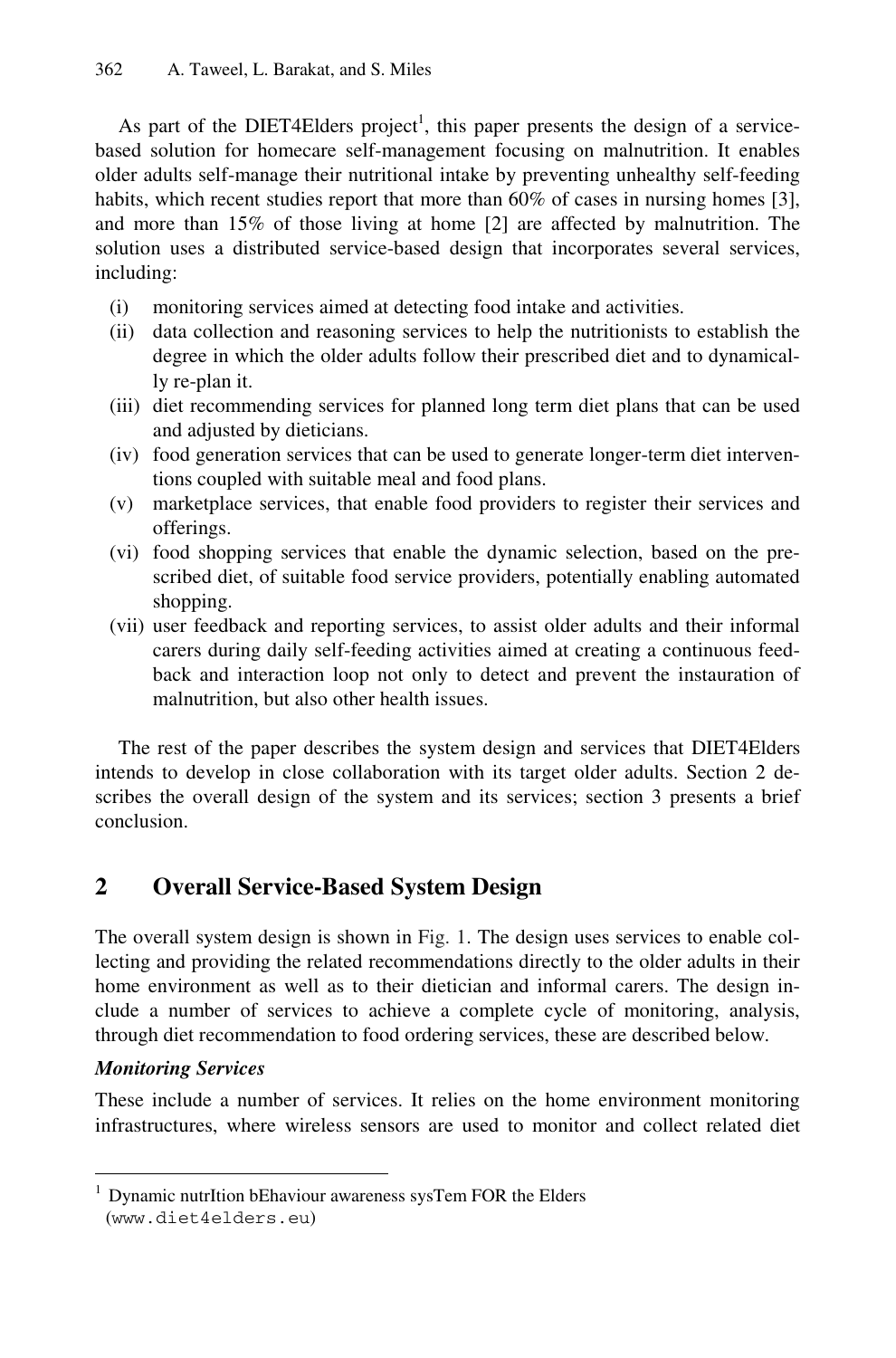As part of the DIET4Elders project<sup>1</sup>, this paper presents the design of a servicebased solution for homecare self-management focusing on malnutrition. It enables older adults self-manage their nutritional intake by preventing unhealthy self-feeding habits, which recent studies report that more than 60% of cases in nursing homes [3], and more than 15% of those living at home [2] are affected by malnutrition. The solution uses a distributed service-based design that incorporates several services, including:

- (i) monitoring services aimed at detecting food intake and activities.
- (ii) data collection and reasoning services to help the nutritionists to establish the degree in which the older adults follow their prescribed diet and to dynamically re-plan it.
- (iii) diet recommending services for planned long term diet plans that can be used and adjusted by dieticians.
- (iv) food generation services that can be used to generate longer-term diet interventions coupled with suitable meal and food plans.
- (v) marketplace services, that enable food providers to register their services and offerings.
- (vi) food shopping services that enable the dynamic selection, based on the prescribed diet, of suitable food service providers, potentially enabling automated shopping.
- (vii) user feedback and reporting services, to assist older adults and their informal carers during daily self-feeding activities aimed at creating a continuous feedback and interaction loop not only to detect and prevent the instauration of malnutrition, but also other health issues.

The rest of the paper describes the system design and services that DIET4Elders intends to develop in close collaboration with its target older adults. Section 2 describes the overall design of the system and its services; section 3 presents a brief conclusion.

### **2 Overall Service-Based System Design**

The overall system design is shown in Fig. 1. The design uses services to enable collecting and providing the related recommendations directly to the older adults in their home environment as well as to their dietician and informal carers. The design include a number of services to achieve a complete cycle of monitoring, analysis, through diet recommendation to food ordering services, these are described below.

#### *Monitoring Services*

j

These include a number of services. It relies on the home environment monitoring infrastructures, where wireless sensors are used to monitor and collect related diet

<sup>&</sup>lt;sup>1</sup> Dynamic nutrItion bEhaviour awareness sysTem FOR the Elders (www.diet4elders.eu)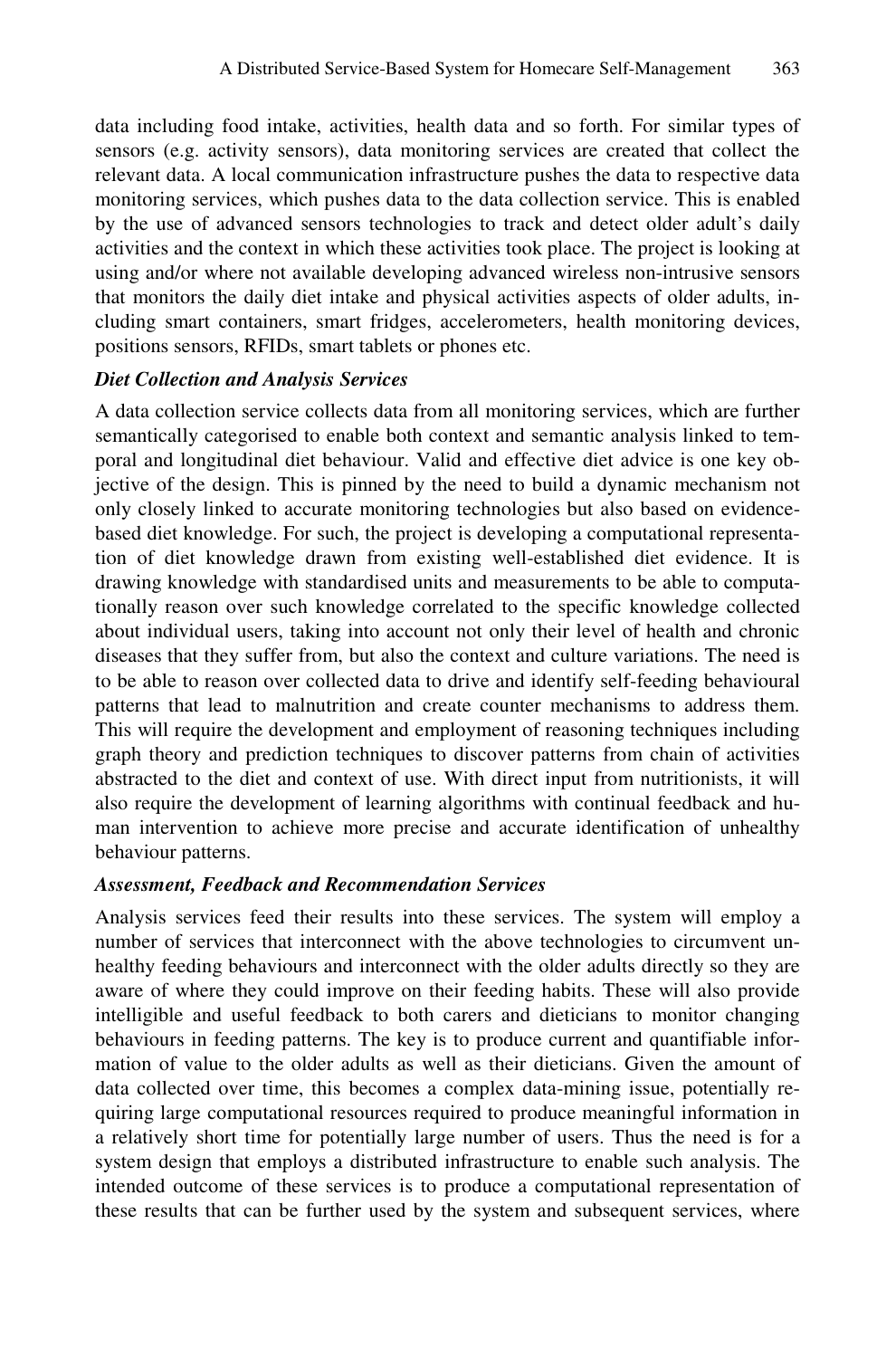data including food intake, activities, health data and so forth. For similar types of sensors (e.g. activity sensors), data monitoring services are created that collect the relevant data. A local communication infrastructure pushes the data to respective data monitoring services, which pushes data to the data collection service. This is enabled by the use of advanced sensors technologies to track and detect older adult's daily activities and the context in which these activities took place. The project is looking at using and/or where not available developing advanced wireless non-intrusive sensors that monitors the daily diet intake and physical activities aspects of older adults, including smart containers, smart fridges, accelerometers, health monitoring devices, positions sensors, RFIDs, smart tablets or phones etc.

#### *Diet Collection and Analysis Services*

A data collection service collects data from all monitoring services, which are further semantically categorised to enable both context and semantic analysis linked to temporal and longitudinal diet behaviour. Valid and effective diet advice is one key objective of the design. This is pinned by the need to build a dynamic mechanism not only closely linked to accurate monitoring technologies but also based on evidencebased diet knowledge. For such, the project is developing a computational representation of diet knowledge drawn from existing well-established diet evidence. It is drawing knowledge with standardised units and measurements to be able to computationally reason over such knowledge correlated to the specific knowledge collected about individual users, taking into account not only their level of health and chronic diseases that they suffer from, but also the context and culture variations. The need is to be able to reason over collected data to drive and identify self-feeding behavioural patterns that lead to malnutrition and create counter mechanisms to address them. This will require the development and employment of reasoning techniques including graph theory and prediction techniques to discover patterns from chain of activities abstracted to the diet and context of use. With direct input from nutritionists, it will also require the development of learning algorithms with continual feedback and human intervention to achieve more precise and accurate identification of unhealthy behaviour patterns.

#### *Assessment, Feedback and Recommendation Services*

Analysis services feed their results into these services. The system will employ a number of services that interconnect with the above technologies to circumvent unhealthy feeding behaviours and interconnect with the older adults directly so they are aware of where they could improve on their feeding habits. These will also provide intelligible and useful feedback to both carers and dieticians to monitor changing behaviours in feeding patterns. The key is to produce current and quantifiable information of value to the older adults as well as their dieticians. Given the amount of data collected over time, this becomes a complex data-mining issue, potentially requiring large computational resources required to produce meaningful information in a relatively short time for potentially large number of users. Thus the need is for a system design that employs a distributed infrastructure to enable such analysis. The intended outcome of these services is to produce a computational representation of these results that can be further used by the system and subsequent services, where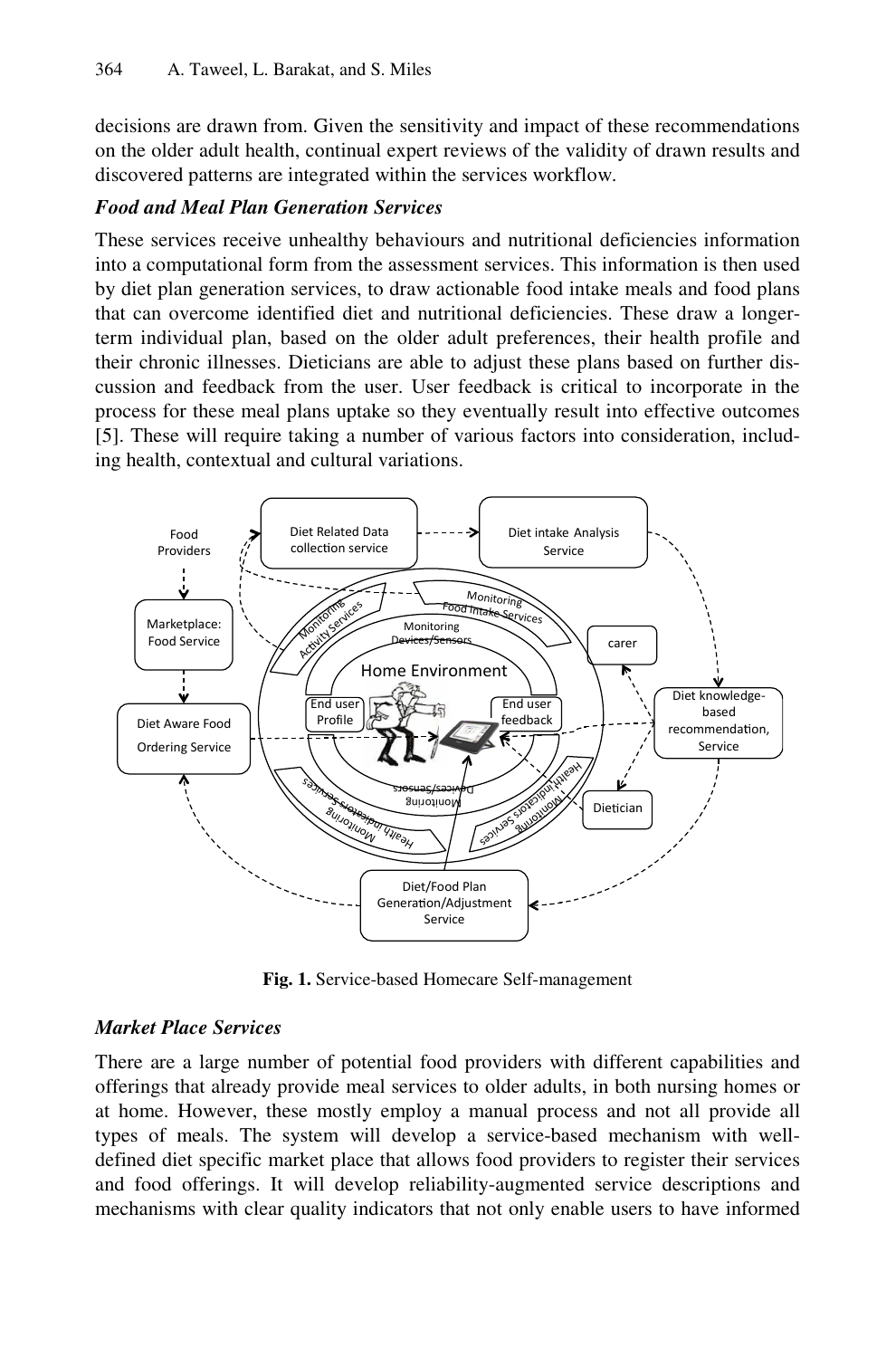decisions are drawn from. Given the sensitivity and impact of these recommendations on the older adult health, continual expert reviews of the validity of drawn results and discovered patterns are integrated within the services workflow.

#### *Food and Meal Plan Generation Services*

These services receive unhealthy behaviours and nutritional deficiencies information into a computational form from the assessment services. This information is then used by diet plan generation services, to draw actionable food intake meals and food plans that can overcome identified diet and nutritional deficiencies. These draw a longerterm individual plan, based on the older adult preferences, their health profile and their chronic illnesses. Dieticians are able to adjust these plans based on further discussion and feedback from the user. User feedback is critical to incorporate in the process for these meal plans uptake so they eventually result into effective outcomes [5]. These will require taking a number of various factors into consideration, including health, contextual and cultural variations.



**Fig. 1.** Service-based Homecare Self-management

#### *Market Place Services*

There are a large number of potential food providers with different capabilities and offerings that already provide meal services to older adults, in both nursing homes or at home. However, these mostly employ a manual process and not all provide all types of meals. The system will develop a service-based mechanism with welldefined diet specific market place that allows food providers to register their services and food offerings. It will develop reliability-augmented service descriptions and mechanisms with clear quality indicators that not only enable users to have informed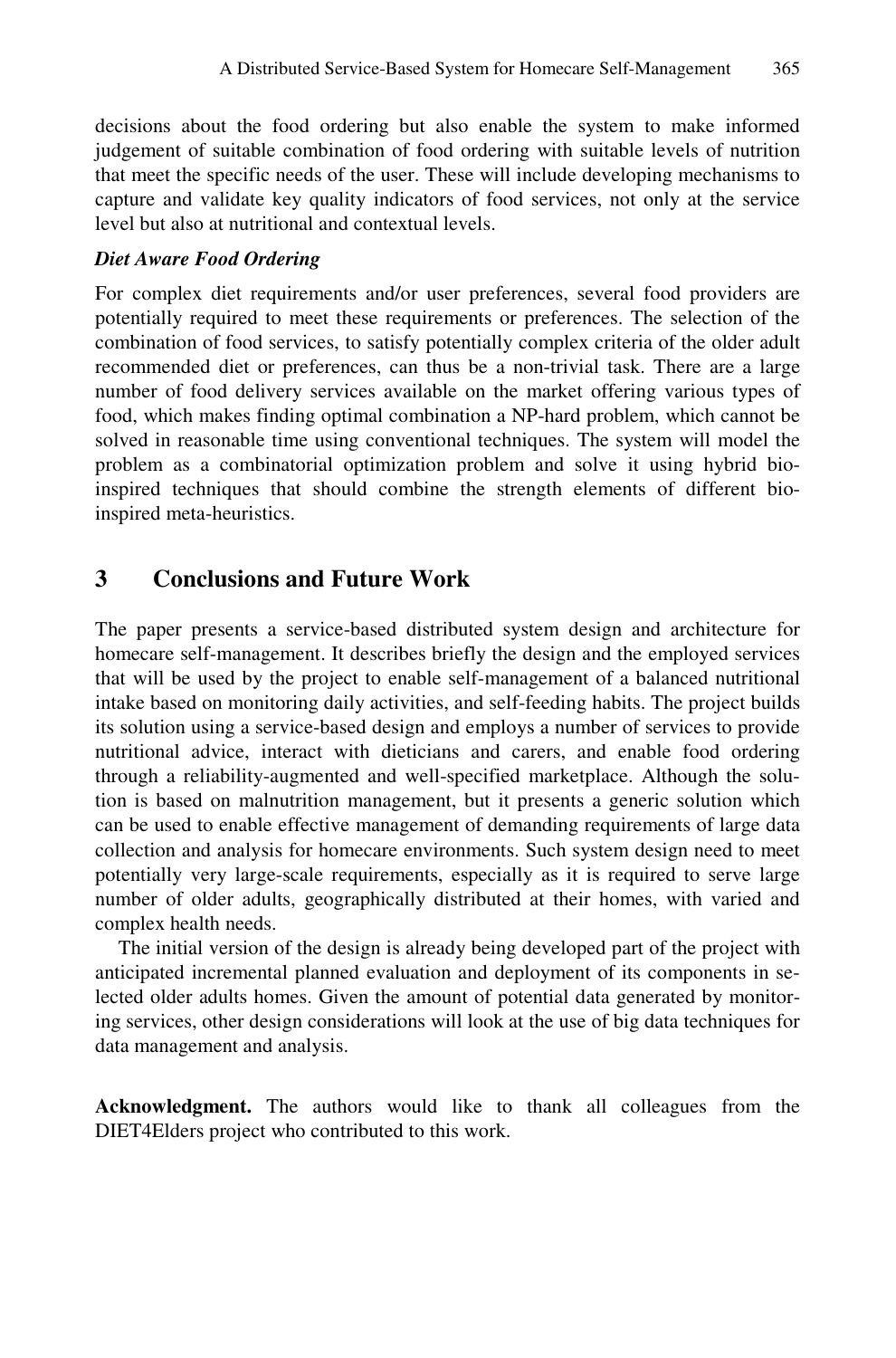decisions about the food ordering but also enable the system to make informed judgement of suitable combination of food ordering with suitable levels of nutrition that meet the specific needs of the user. These will include developing mechanisms to capture and validate key quality indicators of food services, not only at the service level but also at nutritional and contextual levels.

#### *Diet Aware Food Ordering*

For complex diet requirements and/or user preferences, several food providers are potentially required to meet these requirements or preferences. The selection of the combination of food services, to satisfy potentially complex criteria of the older adult recommended diet or preferences, can thus be a non-trivial task. There are a large number of food delivery services available on the market offering various types of food, which makes finding optimal combination a NP-hard problem, which cannot be solved in reasonable time using conventional techniques. The system will model the problem as a combinatorial optimization problem and solve it using hybrid bioinspired techniques that should combine the strength elements of different bioinspired meta-heuristics.

### **3 Conclusions and Future Work**

The paper presents a service-based distributed system design and architecture for homecare self-management. It describes briefly the design and the employed services that will be used by the project to enable self-management of a balanced nutritional intake based on monitoring daily activities, and self-feeding habits. The project builds its solution using a service-based design and employs a number of services to provide nutritional advice, interact with dieticians and carers, and enable food ordering through a reliability-augmented and well-specified marketplace. Although the solution is based on malnutrition management, but it presents a generic solution which can be used to enable effective management of demanding requirements of large data collection and analysis for homecare environments. Such system design need to meet potentially very large-scale requirements, especially as it is required to serve large number of older adults, geographically distributed at their homes, with varied and complex health needs.

The initial version of the design is already being developed part of the project with anticipated incremental planned evaluation and deployment of its components in selected older adults homes. Given the amount of potential data generated by monitoring services, other design considerations will look at the use of big data techniques for data management and analysis.

**Acknowledgment.** The authors would like to thank all colleagues from the DIET4Elders project who contributed to this work.